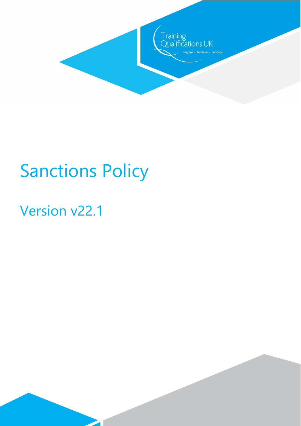

# Sanctions Policy

 $\overline{\phantom{a}}$ 

# Version v22.1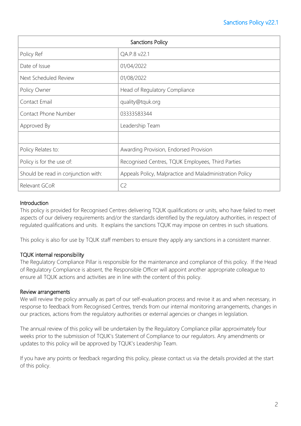| Sanctions Policy                    |                                                          |
|-------------------------------------|----------------------------------------------------------|
| Policy Ref                          | QA.P.8 v22.1                                             |
| Date of Issue                       | 01/04/2022                                               |
| Next Scheduled Review               | 01/08/2022                                               |
| Policy Owner                        | Head of Regulatory Compliance                            |
| Contact Email                       | quality@tquk.org                                         |
| Contact Phone Number                | 03333583344                                              |
| Approved By                         | Leadership Team                                          |
|                                     |                                                          |
| Policy Relates to:                  | Awarding Provision, Endorsed Provision                   |
| Policy is for the use of:           | Recognised Centres, TQUK Employees, Third Parties        |
| Should be read in conjunction with: | Appeals Policy, Malpractice and Maladministration Policy |
| Relevant GCoR                       | C <sub>2</sub>                                           |

# **Introduction**

This policy is provided for Recognised Centres delivering TQUK qualifications or units, who have failed to meet aspects of our delivery requirements and/or the standards identified by the regulatory authorities, in respect of regulated qualifications and units. It explains the sanctions TQUK may impose on centres in such situations.

This policy is also for use by TQUK staff members to ensure they apply any sanctions in a consistent manner.

# TQUK internal responsibility

The Regulatory Compliance Pillar is responsible for the maintenance and compliance of this policy. If the Head of Regulatory Compliance is absent, the Responsible Officer will appoint another appropriate colleague to ensure all TQUK actions and activities are in line with the content of this policy.

# Review arrangements

We will review the policy annually as part of our self-evaluation process and revise it as and when necessary, in response to feedback from Recognised Centres, trends from our internal monitoring arrangements, changes in our practices, actions from the regulatory authorities or external agencies or changes in legislation.

The annual review of this policy will be undertaken by the Regulatory Compliance pillar approximately four weeks prior to the submission of TQUK's Statement of Compliance to our regulators. Any amendments or updates to this policy will be approved by TQUK's Leadership Team.

If you have any points or feedback regarding this policy, please contact us via the details provided at the start of this policy.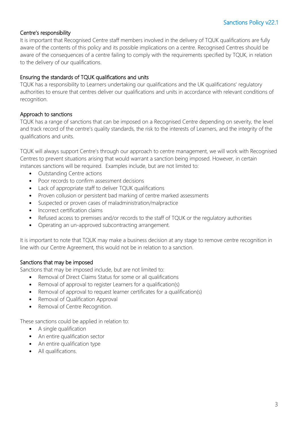# Centre's responsibility

It is important that Recognised Centre staff members involved in the delivery of TQUK qualifications are fully aware of the contents of this policy and its possible implications on a centre. Recognised Centres should be aware of the consequences of a centre failing to comply with the requirements specified by TQUK, in relation to the delivery of our qualifications.

#### Ensuring the standards of TQUK qualifications and units

TQUK has a responsibility to Learners undertaking our qualifications and the UK qualifications' regulatory authorities to ensure that centres deliver our qualifications and units in accordance with relevant conditions of recognition.

#### Approach to sanctions

TQUK has a range of sanctions that can be imposed on a Recognised Centre depending on severity, the level and track record of the centre's quality standards, the risk to the interests of Learners, and the integrity of the qualifications and units.

TQUK will always support Centre's through our approach to centre management, we will work with Recognised Centres to prevent situations arising that would warrant a sanction being imposed. However, in certain instances sanctions will be required. Examples include, but are not limited to:

- Outstanding Centre actions
- Poor records to confirm assessment decisions
- Lack of appropriate staff to deliver TOUK qualifications
- Proven collusion or persistent bad marking of centre marked assessments
- Suspected or proven cases of maladministration/malpractice
- Incorrect certification claims
- Refused access to premises and/or records to the staff of TQUK or the regulatory authorities
- Operating an un-approved subcontracting arrangement.

It is important to note that TQUK may make a business decision at any stage to remove centre recognition in line with our Centre Agreement, this would not be in relation to a sanction.

# Sanctions that may be imposed

Sanctions that may be imposed include, but are not limited to:

- Removal of Direct Claims Status for some or all qualifications
- Removal of approval to register Learners for a qualification(s)
- Removal of approval to request learner certificates for a qualification(s)
- Removal of Qualification Approval
- Removal of Centre Recognition.

These sanctions could be applied in relation to:

- A single qualification
- An entire qualification sector
- An entire qualification type
- All qualifications.